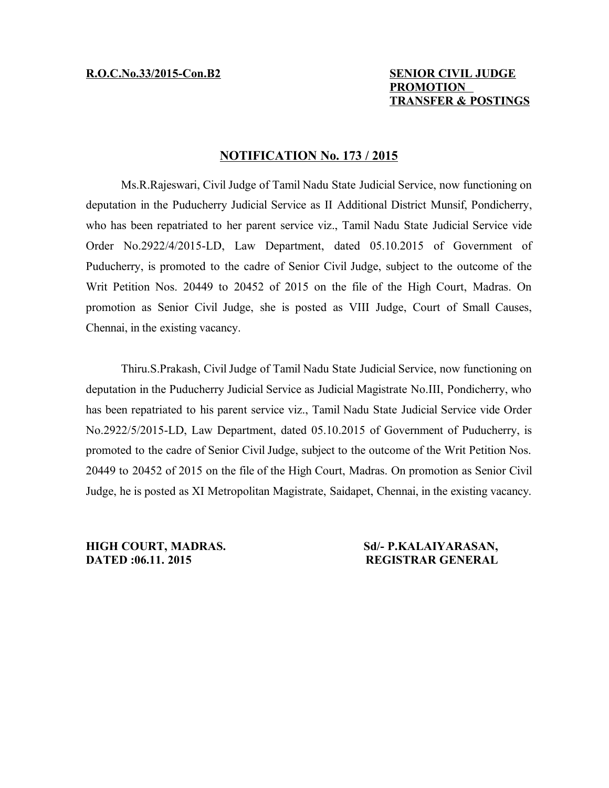# **R.O.C.No.33/2015-Con.B2 SENIOR CIVIL JUDGE PROMOTION TRANSFER & POSTINGS**

## **NOTIFICATION No. 173 / 2015**

Ms.R.Rajeswari, Civil Judge of Tamil Nadu State Judicial Service, now functioning on deputation in the Puducherry Judicial Service as II Additional District Munsif, Pondicherry, who has been repatriated to her parent service viz., Tamil Nadu State Judicial Service vide Order No.2922/4/2015-LD, Law Department, dated 05.10.2015 of Government of Puducherry, is promoted to the cadre of Senior Civil Judge, subject to the outcome of the Writ Petition Nos. 20449 to 20452 of 2015 on the file of the High Court, Madras. On promotion as Senior Civil Judge, she is posted as VIII Judge, Court of Small Causes, Chennai, in the existing vacancy.

Thiru.S.Prakash, Civil Judge of Tamil Nadu State Judicial Service, now functioning on deputation in the Puducherry Judicial Service as Judicial Magistrate No.III, Pondicherry, who has been repatriated to his parent service viz., Tamil Nadu State Judicial Service vide Order No.2922/5/2015-LD, Law Department, dated 05.10.2015 of Government of Puducherry, is promoted to the cadre of Senior Civil Judge, subject to the outcome of the Writ Petition Nos. 20449 to 20452 of 2015 on the file of the High Court, Madras. On promotion as Senior Civil Judge, he is posted as XI Metropolitan Magistrate, Saidapet, Chennai, in the existing vacancy.

**HIGH COURT, MADRAS. Sd/- P.KALAIYARASAN, DATED :06.11. 2015 REGISTRAR GENERAL**